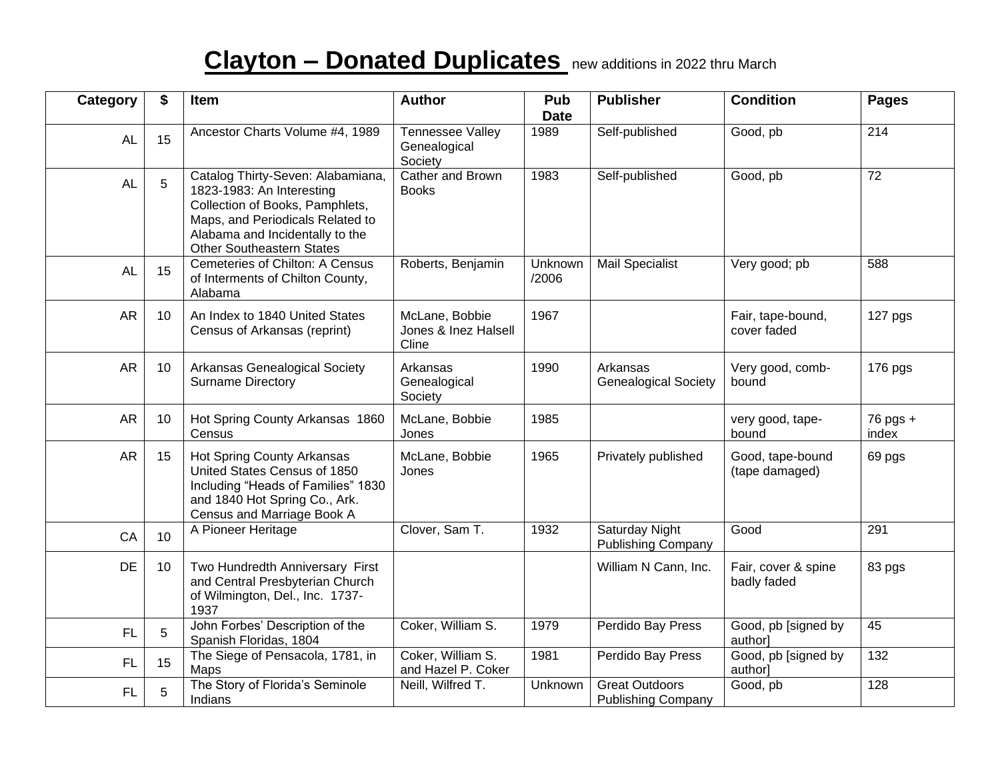## **Clayton – Donated Duplicates** new additions in <sup>2022</sup> thru March

| Category  | \$ | Item                                                                                                                                                                                                         | <b>Author</b>                                      | Pub                 | <b>Publisher</b>                                   | <b>Condition</b>                   | <b>Pages</b>      |
|-----------|----|--------------------------------------------------------------------------------------------------------------------------------------------------------------------------------------------------------------|----------------------------------------------------|---------------------|----------------------------------------------------|------------------------------------|-------------------|
| <b>AL</b> | 15 | Ancestor Charts Volume #4, 1989                                                                                                                                                                              | <b>Tennessee Valley</b><br>Genealogical<br>Society | <b>Date</b><br>1989 | Self-published                                     | Good, pb                           | 214               |
| <b>AL</b> | 5  | Catalog Thirty-Seven: Alabamiana,<br>1823-1983: An Interesting<br>Collection of Books, Pamphlets,<br>Maps, and Periodicals Related to<br>Alabama and Incidentally to the<br><b>Other Southeastern States</b> | Cather and Brown<br><b>Books</b>                   | 1983                | Self-published                                     | Good, pb                           | 72                |
| <b>AL</b> | 15 | Cemeteries of Chilton: A Census<br>of Interments of Chilton County,<br>Alabama                                                                                                                               | Roberts, Benjamin                                  | Unknown<br>/2006    | <b>Mail Specialist</b>                             | Very good; pb                      | 588               |
| <b>AR</b> | 10 | An Index to 1840 United States<br>Census of Arkansas (reprint)                                                                                                                                               | McLane, Bobbie<br>Jones & Inez Halsell<br>Cline    | 1967                |                                                    | Fair, tape-bound,<br>cover faded   | 127 pgs           |
| <b>AR</b> | 10 | Arkansas Genealogical Society<br><b>Surname Directory</b>                                                                                                                                                    | Arkansas<br>Genealogical<br>Society                | 1990                | Arkansas<br><b>Genealogical Society</b>            | Very good, comb-<br>bound          | 176 pgs           |
| <b>AR</b> | 10 | Hot Spring County Arkansas 1860<br>Census                                                                                                                                                                    | McLane, Bobbie<br>Jones                            | 1985                |                                                    | very good, tape-<br>bound          | 76 pgs +<br>index |
| <b>AR</b> | 15 | Hot Spring County Arkansas<br>United States Census of 1850<br>Including "Heads of Families" 1830<br>and 1840 Hot Spring Co., Ark.<br>Census and Marriage Book A                                              | McLane, Bobbie<br>Jones                            | 1965                | Privately published                                | Good, tape-bound<br>(tape damaged) | 69 pgs            |
| CA        | 10 | A Pioneer Heritage                                                                                                                                                                                           | Clover, Sam T.                                     | 1932                | Saturday Night<br><b>Publishing Company</b>        | Good                               | 291               |
| <b>DE</b> | 10 | Two Hundredth Anniversary First<br>and Central Presbyterian Church<br>of Wilmington, Del., Inc. 1737-<br>1937                                                                                                |                                                    |                     | William N Cann, Inc.                               | Fair, cover & spine<br>badly faded | 83 pgs            |
| FL        | 5  | John Forbes' Description of the<br>Spanish Floridas, 1804                                                                                                                                                    | Coker, William S.                                  | 1979                | Perdido Bay Press                                  | Good, pb [signed by<br>author]     | $\overline{45}$   |
| FL        | 15 | The Siege of Pensacola, 1781, in<br>Maps                                                                                                                                                                     | Coker, William S.<br>and Hazel P. Coker            | 1981                | Perdido Bay Press                                  | Good, pb [signed by<br>author]     | 132               |
| FL        | 5  | The Story of Florida's Seminole<br>Indians                                                                                                                                                                   | Neill, Wilfred T.                                  | Unknown             | <b>Great Outdoors</b><br><b>Publishing Company</b> | Good, pb                           | 128               |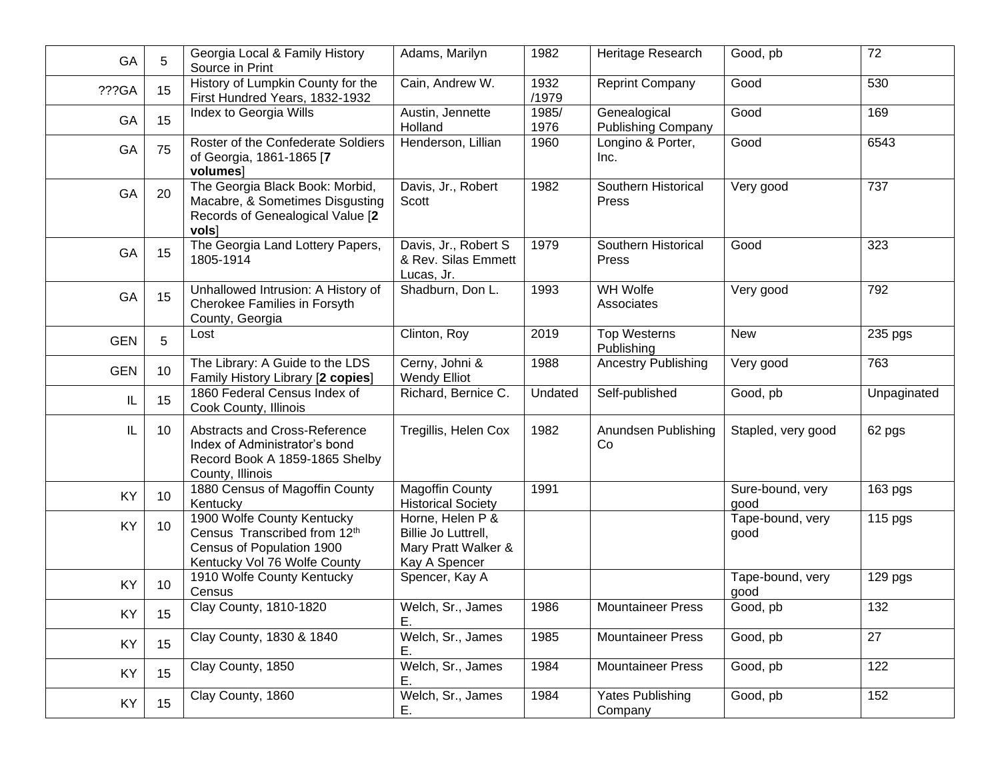| GA         | 5               | Georgia Local & Family History<br>Source in Print                                                                       | Adams, Marilyn                                                                  | 1982          | Heritage Research                         | Good, pb                 | 72          |
|------------|-----------------|-------------------------------------------------------------------------------------------------------------------------|---------------------------------------------------------------------------------|---------------|-------------------------------------------|--------------------------|-------------|
| ???GA      | 15              | History of Lumpkin County for the<br>First Hundred Years, 1832-1932                                                     | Cain, Andrew W.                                                                 | 1932<br>/1979 | <b>Reprint Company</b>                    | Good                     | 530         |
| GA         | 15              | Index to Georgia Wills                                                                                                  | Austin, Jennette<br>Holland                                                     | 1985/<br>1976 | Genealogical<br><b>Publishing Company</b> | Good                     | 169         |
| GA         | 75              | Roster of the Confederate Soldiers<br>of Georgia, 1861-1865 [7<br>volumes]                                              | Henderson, Lillian                                                              | 1960          | Longino & Porter,<br>Inc.                 | Good                     | 6543        |
| GA         | 20              | The Georgia Black Book: Morbid,<br>Macabre, & Sometimes Disgusting<br>Records of Genealogical Value [2<br>vols]         | Davis, Jr., Robert<br>Scott                                                     | 1982          | Southern Historical<br>Press              | Very good                | 737         |
| GA         | 15              | The Georgia Land Lottery Papers,<br>1805-1914                                                                           | Davis, Jr., Robert S<br>& Rev. Silas Emmett<br>Lucas, Jr.                       | 1979          | Southern Historical<br>Press              | Good                     | 323         |
| GA         | 15              | Unhallowed Intrusion: A History of<br>Cherokee Families in Forsyth<br>County, Georgia                                   | Shadburn, Don L.                                                                | 1993          | WH Wolfe<br>Associates                    | Very good                | 792         |
| <b>GEN</b> | 5               | Lost                                                                                                                    | Clinton, Roy                                                                    | 2019          | <b>Top Westerns</b><br>Publishing         | <b>New</b>               | 235 pgs     |
| <b>GEN</b> | 10              | The Library: A Guide to the LDS<br>Family History Library [2 copies]                                                    | Cerny, Johni &<br><b>Wendy Elliot</b>                                           | 1988          | <b>Ancestry Publishing</b>                | Very good                | 763         |
| IL         | 15              | 1860 Federal Census Index of<br>Cook County, Illinois                                                                   | Richard, Bernice C.                                                             | Undated       | Self-published                            | Good, pb                 | Unpaginated |
| $\sf IL$   | 10              | Abstracts and Cross-Reference<br>Index of Administrator's bond<br>Record Book A 1859-1865 Shelby<br>County, Illinois    | Tregillis, Helen Cox                                                            | 1982          | Anundsen Publishing<br>Co                 | Stapled, very good       | 62 pgs      |
| KY         | 10              | 1880 Census of Magoffin County<br>Kentucky                                                                              | <b>Magoffin County</b><br><b>Historical Society</b>                             | 1991          |                                           | Sure-bound, very<br>good | 163 pgs     |
| KY         | 10 <sup>°</sup> | 1900 Wolfe County Kentucky<br>Census Transcribed from 12th<br>Census of Population 1900<br>Kentucky Vol 76 Wolfe County | Horne, Helen P &<br>Billie Jo Luttrell,<br>Mary Pratt Walker &<br>Kay A Spencer |               |                                           | Tape-bound, very<br>good | 115 pgs     |
| KY         | 10 <sup>°</sup> | 1910 Wolfe County Kentucky<br>Census                                                                                    | Spencer, Kay A                                                                  |               |                                           | Tape-bound, very<br>good | 129 pgs     |
| KY         | 15              | Clay County, 1810-1820                                                                                                  | Welch, Sr., James<br>Ε.                                                         | 1986          | <b>Mountaineer Press</b>                  | Good, pb                 | 132         |
| KY         | 15              | Clay County, 1830 & 1840                                                                                                | Welch, Sr., James<br>Е.                                                         | 1985          | <b>Mountaineer Press</b>                  | Good, pb                 | 27          |
| KY         | 15              | Clay County, 1850                                                                                                       | Welch, Sr., James<br>Е.                                                         | 1984          | <b>Mountaineer Press</b>                  | Good, pb                 | 122         |
| KY         | 15              | Clay County, 1860                                                                                                       | Welch, Sr., James<br>Е.                                                         | 1984          | Yates Publishing<br>Company               | Good, pb                 | 152         |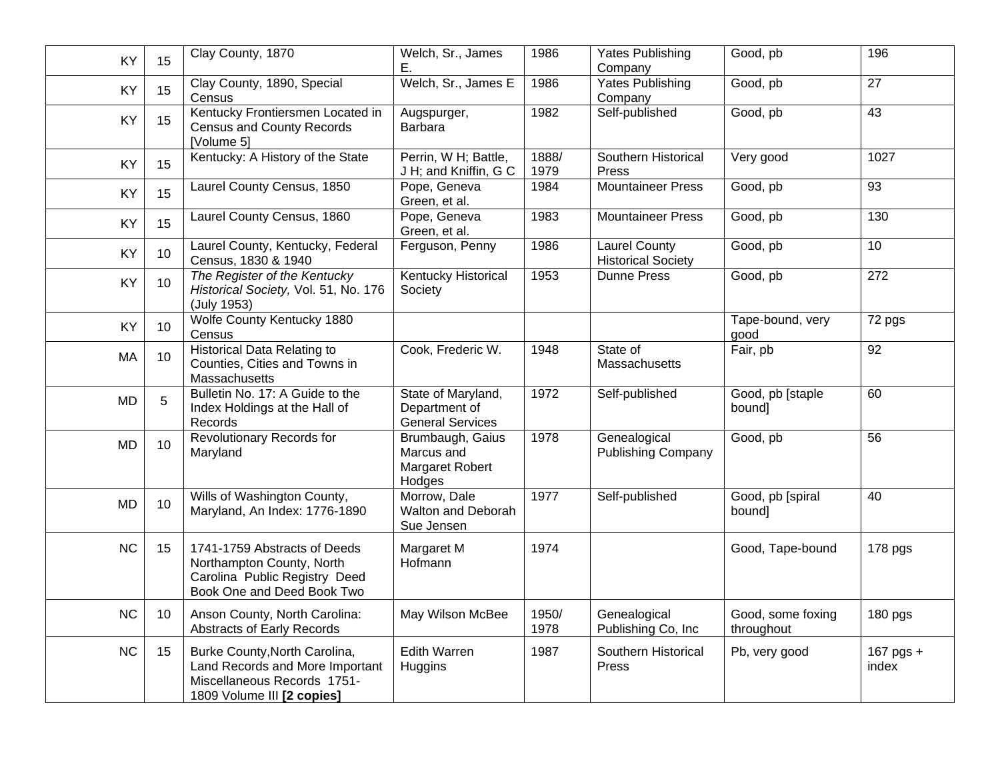| KY        | 15 | Clay County, 1870                                                                                                             | Welch, Sr., James<br>Ε.                                        | 1986          | Yates Publishing<br>Company                       | Good, pb                        | 196                  |
|-----------|----|-------------------------------------------------------------------------------------------------------------------------------|----------------------------------------------------------------|---------------|---------------------------------------------------|---------------------------------|----------------------|
| KY        | 15 | Clay County, 1890, Special<br>Census                                                                                          | Welch, Sr., James E                                            | 1986          | <b>Yates Publishing</b><br>Company                | Good, pb                        | 27                   |
| KY        | 15 | Kentucky Frontiersmen Located in<br><b>Census and County Records</b><br>[Volume 5]                                            | Augspurger,<br><b>Barbara</b>                                  | 1982          | Self-published                                    | Good, pb                        | 43                   |
| KY        | 15 | Kentucky: A History of the State                                                                                              | Perrin, W H; Battle,<br>J H; and Kniffin, G C                  | 1888/<br>1979 | Southern Historical<br>Press                      | Very good                       | 1027                 |
| KY        | 15 | Laurel County Census, 1850                                                                                                    | Pope, Geneva<br>Green, et al.                                  | 1984          | <b>Mountaineer Press</b>                          | Good, pb                        | 93                   |
| KY        | 15 | Laurel County Census, 1860                                                                                                    | Pope, Geneva<br>Green, et al.                                  | 1983          | <b>Mountaineer Press</b>                          | Good, pb                        | 130                  |
| KY        | 10 | Laurel County, Kentucky, Federal<br>Census, 1830 & 1940                                                                       | Ferguson, Penny                                                | 1986          | <b>Laurel County</b><br><b>Historical Society</b> | Good, pb                        | 10                   |
| KY        | 10 | The Register of the Kentucky<br>Historical Society, Vol. 51, No. 176<br>(July 1953)                                           | Kentucky Historical<br>Society                                 | 1953          | <b>Dunne Press</b>                                | Good, pb                        | 272                  |
| KY        | 10 | <b>Wolfe County Kentucky 1880</b><br>Census                                                                                   |                                                                |               |                                                   | Tape-bound, very<br>good        | 72 pgs               |
| MA        | 10 | <b>Historical Data Relating to</b><br>Counties, Cities and Towns in<br>Massachusetts                                          | Cook, Frederic W.                                              | 1948          | State of<br>Massachusetts                         | Fair, pb                        | 92                   |
| <b>MD</b> | 5  | Bulletin No. 17: A Guide to the<br>Index Holdings at the Hall of<br>Records                                                   | State of Maryland,<br>Department of<br><b>General Services</b> | 1972          | Self-published                                    | Good, pb [staple<br>bound]      | 60                   |
| <b>MD</b> | 10 | <b>Revolutionary Records for</b><br>Maryland                                                                                  | Brumbaugh, Gaius<br>Marcus and<br>Margaret Robert<br>Hodges    | 1978          | Genealogical<br><b>Publishing Company</b>         | Good, pb                        | $\overline{56}$      |
| <b>MD</b> | 10 | Wills of Washington County,<br>Maryland, An Index: 1776-1890                                                                  | Morrow, Dale<br>Walton and Deborah<br>Sue Jensen               | 1977          | Self-published                                    | Good, pb [spiral<br>bound]      | 40                   |
| <b>NC</b> | 15 | 1741-1759 Abstracts of Deeds<br>Northampton County, North<br>Carolina Public Registry Deed<br>Book One and Deed Book Two      | Margaret M<br>Hofmann                                          | 1974          |                                                   | Good, Tape-bound                | 178 pgs              |
| <b>NC</b> | 10 | Anson County, North Carolina:<br><b>Abstracts of Early Records</b>                                                            | May Wilson McBee                                               | 1950/<br>1978 | Genealogical<br>Publishing Co, Inc.               | Good, some foxing<br>throughout | 180 pgs              |
| <b>NC</b> | 15 | Burke County, North Carolina,<br>Land Records and More Important<br>Miscellaneous Records 1751-<br>1809 Volume III [2 copies] | <b>Edith Warren</b><br>Huggins                                 | 1987          | Southern Historical<br>Press                      | Pb, very good                   | $167$ pgs +<br>index |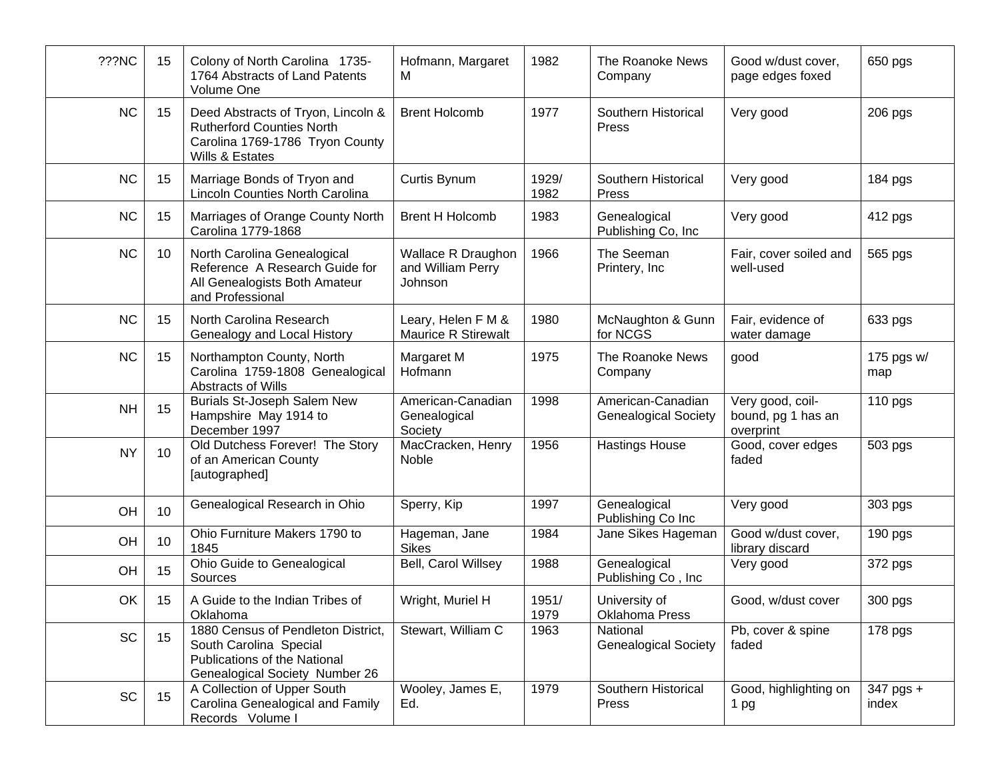| ???NC     | 15              | Colony of North Carolina 1735-<br>1764 Abstracts of Land Patents<br>Volume One                                                        | Hofmann, Margaret<br>м                             | 1982          | The Roanoke News<br>Company                      | Good w/dust cover,<br>page edges foxed              | 650 pgs            |
|-----------|-----------------|---------------------------------------------------------------------------------------------------------------------------------------|----------------------------------------------------|---------------|--------------------------------------------------|-----------------------------------------------------|--------------------|
| <b>NC</b> | 15              | Deed Abstracts of Tryon, Lincoln &<br><b>Rutherford Counties North</b><br>Carolina 1769-1786 Tryon County<br>Wills & Estates          | <b>Brent Holcomb</b>                               | 1977          | Southern Historical<br>Press                     | Very good                                           | 206 pgs            |
| <b>NC</b> | 15              | Marriage Bonds of Tryon and<br><b>Lincoln Counties North Carolina</b>                                                                 | Curtis Bynum                                       | 1929/<br>1982 | Southern Historical<br>Press                     | Very good                                           | 184 pgs            |
| <b>NC</b> | 15              | Marriages of Orange County North<br>Carolina 1779-1868                                                                                | <b>Brent H Holcomb</b>                             | 1983          | Genealogical<br>Publishing Co, Inc.              | Very good                                           | 412 pgs            |
| <b>NC</b> | 10              | North Carolina Genealogical<br>Reference A Research Guide for<br>All Genealogists Both Amateur<br>and Professional                    | Wallace R Draughon<br>and William Perry<br>Johnson | 1966          | The Seeman<br>Printery, Inc                      | Fair, cover soiled and<br>well-used                 | 565 pgs            |
| <b>NC</b> | 15              | North Carolina Research<br>Genealogy and Local History                                                                                | Leary, Helen F M &<br>Maurice R Stirewalt          | 1980          | McNaughton & Gunn<br>for NCGS                    | Fair, evidence of<br>water damage                   | 633 pgs            |
| <b>NC</b> | 15              | Northampton County, North<br>Carolina 1759-1808 Genealogical<br>Abstracts of Wills                                                    | Margaret M<br>Hofmann                              | 1975          | The Roanoke News<br>Company                      | good                                                | 175 pgs w/<br>map  |
| <b>NH</b> | 15              | Burials St-Joseph Salem New<br>Hampshire May 1914 to<br>December 1997                                                                 | American-Canadian<br>Genealogical<br>Society       | 1998          | American-Canadian<br><b>Genealogical Society</b> | Very good, coil-<br>bound, pg 1 has an<br>overprint | 110 pgs            |
| <b>NY</b> | 10              | Old Dutchess Forever! The Story<br>of an American County<br>[autographed]                                                             | MacCracken, Henry<br>Noble                         | 1956          | <b>Hastings House</b>                            | Good, cover edges<br>faded                          | 503 pgs            |
| OH        | 10              | Genealogical Research in Ohio                                                                                                         | Sperry, Kip                                        | 1997          | Genealogical<br>Publishing Co Inc                | Very good                                           | 303 pgs            |
| OH        | 10 <sup>°</sup> | Ohio Furniture Makers 1790 to<br>1845                                                                                                 | Hageman, Jane<br><b>Sikes</b>                      | 1984          | Jane Sikes Hageman                               | Good w/dust cover,<br>library discard               | 190 pgs            |
| OH        | 15              | Ohio Guide to Genealogical<br>Sources                                                                                                 | Bell, Carol Willsey                                | 1988          | Genealogical<br>Publishing Co, Inc.              | Very good                                           | 372 pgs            |
| OK        | 15              | A Guide to the Indian Tribes of<br>Oklahoma                                                                                           | Wright, Muriel H                                   | 1951/<br>1979 | University of<br><b>Oklahoma Press</b>           | Good, w/dust cover                                  | 300 pgs            |
| SC        | 15              | 1880 Census of Pendleton District,<br>South Carolina Special<br><b>Publications of the National</b><br>Genealogical Society Number 26 | Stewart, William C                                 | 1963          | National<br><b>Genealogical Society</b>          | Pb, cover & spine<br>faded                          | 178 pgs            |
| SC        | 15              | A Collection of Upper South<br>Carolina Genealogical and Family<br>Records Volume I                                                   | Wooley, James E,<br>Ed.                            | 1979          | Southern Historical<br>Press                     | Good, highlighting on<br>1 pg                       | 347 pgs +<br>index |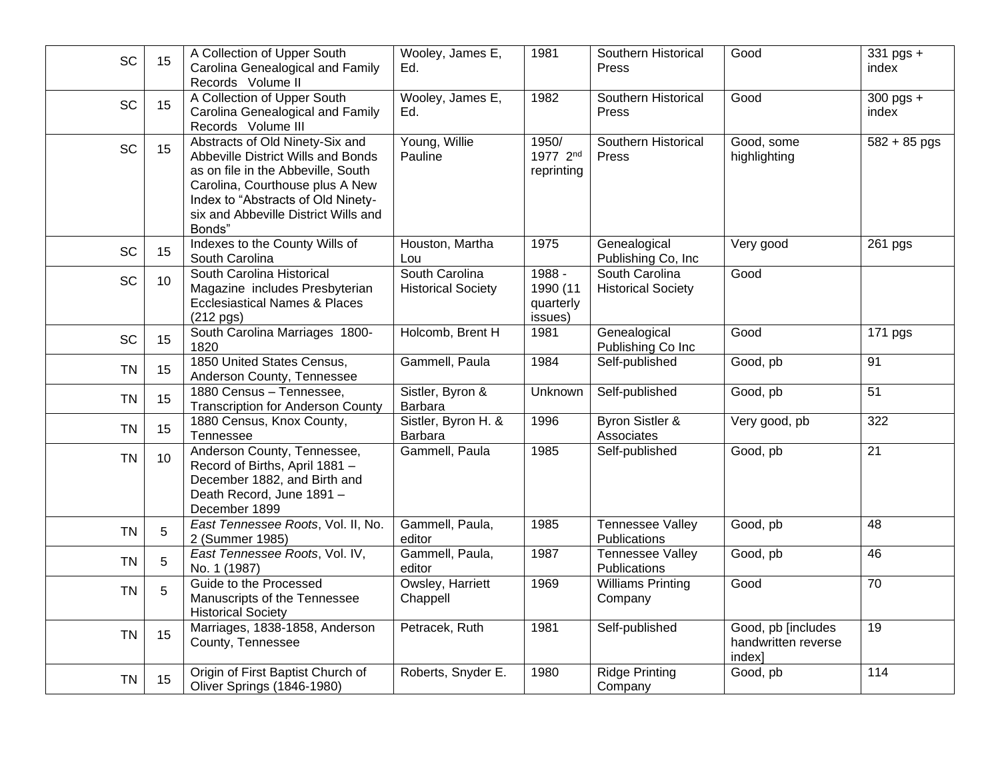| SC        | 15 | A Collection of Upper South<br>Carolina Genealogical and Family<br>Records Volume II                                                                                                                                                   | Wooley, James E,<br>Ed.                     | 1981                                       | Southern Historical<br>Press                | Good                                                | $\overline{3}31$ pgs +<br>index |
|-----------|----|----------------------------------------------------------------------------------------------------------------------------------------------------------------------------------------------------------------------------------------|---------------------------------------------|--------------------------------------------|---------------------------------------------|-----------------------------------------------------|---------------------------------|
| SC        | 15 | A Collection of Upper South<br>Carolina Genealogical and Family<br>Records Volume III                                                                                                                                                  | Wooley, James E,<br>Ed.                     | 1982                                       | Southern Historical<br>Press                | Good                                                | $300$ pgs $+$<br>index          |
| <b>SC</b> | 15 | Abstracts of Old Ninety-Six and<br>Abbeville District Wills and Bonds<br>as on file in the Abbeville, South<br>Carolina, Courthouse plus A New<br>Index to "Abstracts of Old Ninety-<br>six and Abbeville District Wills and<br>Bonds" | Young, Willie<br>Pauline                    | 1950/<br>1977 2nd<br>reprinting            | Southern Historical<br>Press                | Good, some<br>highlighting                          | $582 + 85$ pgs                  |
| SC        | 15 | Indexes to the County Wills of<br>South Carolina                                                                                                                                                                                       | Houston, Martha<br>Lou                      | 1975                                       | Genealogical<br>Publishing Co, Inc.         | Very good                                           | 261 pgs                         |
| SC        | 10 | South Carolina Historical<br>Magazine includes Presbyterian<br><b>Ecclesiastical Names &amp; Places</b><br>$(212$ pgs)                                                                                                                 | South Carolina<br><b>Historical Society</b> | 1988 -<br>1990 (11<br>quarterly<br>issues) | South Carolina<br><b>Historical Society</b> | Good                                                |                                 |
| <b>SC</b> | 15 | South Carolina Marriages 1800-<br>1820                                                                                                                                                                                                 | Holcomb, Brent H                            | 1981                                       | Genealogical<br>Publishing Co Inc           | Good                                                | 171 pgs                         |
| <b>TN</b> | 15 | 1850 United States Census,<br>Anderson County, Tennessee                                                                                                                                                                               | Gammell, Paula                              | 1984                                       | Self-published                              | Good, pb                                            | $\overline{91}$                 |
| <b>TN</b> | 15 | 1880 Census - Tennessee,<br><b>Transcription for Anderson County</b>                                                                                                                                                                   | Sistler, Byron &<br>Barbara                 | Unknown                                    | Self-published                              | Good, pb                                            | 51                              |
| <b>TN</b> | 15 | 1880 Census, Knox County,<br>Tennessee                                                                                                                                                                                                 | Sistler, Byron H. &<br>Barbara              | 1996                                       | Byron Sistler &<br>Associates               | Very good, pb                                       | 322                             |
| <b>TN</b> | 10 | Anderson County, Tennessee,<br>Record of Births, April 1881 -<br>December 1882, and Birth and<br>Death Record, June 1891 -<br>December 1899                                                                                            | Gammell, Paula                              | 1985                                       | Self-published                              | Good, pb                                            | $\overline{21}$                 |
| <b>TN</b> | 5  | East Tennessee Roots, Vol. II, No.<br>2 (Summer 1985)                                                                                                                                                                                  | Gammell, Paula,<br>editor                   | 1985                                       | <b>Tennessee Valley</b><br>Publications     | Good, pb                                            | 48                              |
| <b>TN</b> | 5  | East Tennessee Roots, Vol. IV,<br>No. 1 (1987)                                                                                                                                                                                         | Gammell, Paula,<br>editor                   | 1987                                       | <b>Tennessee Valley</b><br>Publications     | Good, pb                                            | 46                              |
| <b>TN</b> | 5  | Guide to the Processed<br>Manuscripts of the Tennessee<br><b>Historical Society</b>                                                                                                                                                    | Owsley, Harriett<br>Chappell                | 1969                                       | <b>Williams Printing</b><br>Company         | Good                                                | 70                              |
| <b>TN</b> | 15 | Marriages, 1838-1858, Anderson<br>County, Tennessee                                                                                                                                                                                    | Petracek, Ruth                              | 1981                                       | Self-published                              | Good, pb [includes<br>handwritten reverse<br>index] | 19                              |
| <b>TN</b> | 15 | Origin of First Baptist Church of<br>Oliver Springs (1846-1980)                                                                                                                                                                        | Roberts, Snyder E.                          | 1980                                       | <b>Ridge Printing</b><br>Company            | Good, pb                                            | 114                             |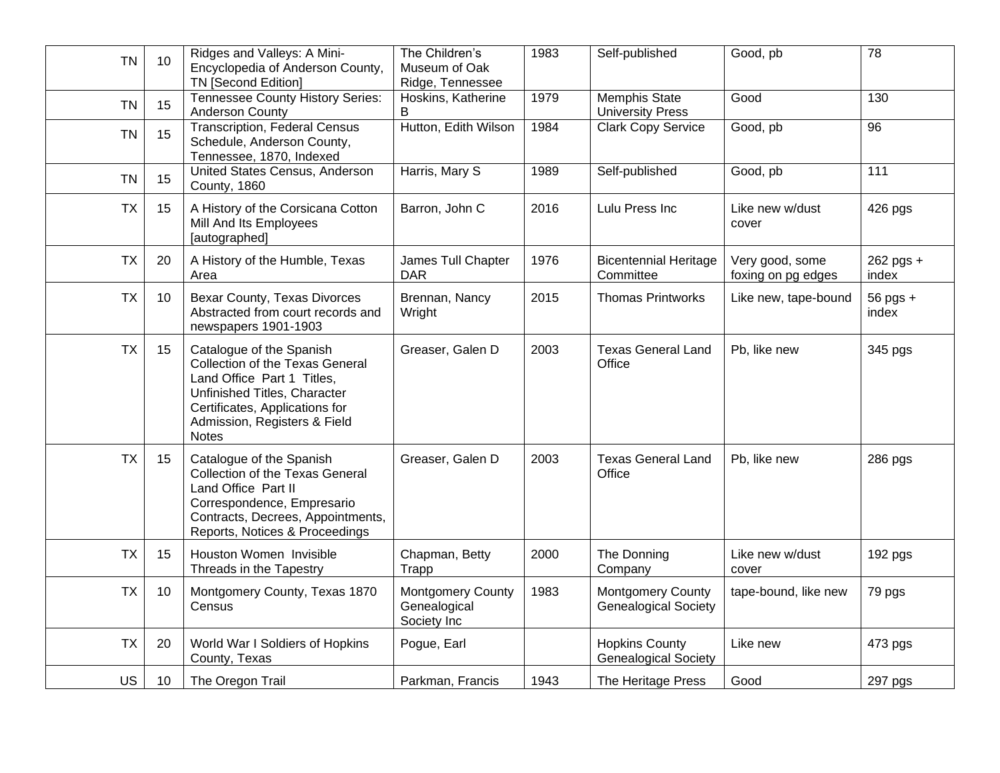| <b>TN</b> | 10 | Ridges and Valleys: A Mini-<br>Encyclopedia of Anderson County,<br><b>TN [Second Edition]</b>                                                                                                               | The Children's<br>Museum of Oak<br>Ridge, Tennessee | 1983 | Self-published                                          | Good, pb                              | $\overline{78}$    |
|-----------|----|-------------------------------------------------------------------------------------------------------------------------------------------------------------------------------------------------------------|-----------------------------------------------------|------|---------------------------------------------------------|---------------------------------------|--------------------|
| <b>TN</b> | 15 | Tennessee County History Series:<br><b>Anderson County</b>                                                                                                                                                  | Hoskins, Katherine<br>B                             | 1979 | Memphis State<br><b>University Press</b>                | Good                                  | 130                |
| <b>TN</b> | 15 | <b>Transcription, Federal Census</b><br>Schedule, Anderson County,<br>Tennessee, 1870, Indexed                                                                                                              | Hutton, Edith Wilson                                | 1984 | <b>Clark Copy Service</b>                               | Good, pb                              | 96                 |
| <b>TN</b> | 15 | United States Census, Anderson<br>County, 1860                                                                                                                                                              | Harris, Mary S                                      | 1989 | Self-published                                          | Good, pb                              | 111                |
| <b>TX</b> | 15 | A History of the Corsicana Cotton<br>Mill And Its Employees<br>[autographed]                                                                                                                                | Barron, John C                                      | 2016 | Lulu Press Inc                                          | Like new w/dust<br>cover              | 426 pgs            |
| <b>TX</b> | 20 | A History of the Humble, Texas<br>Area                                                                                                                                                                      | James Tull Chapter<br><b>DAR</b>                    | 1976 | <b>Bicentennial Heritage</b><br>Committee               | Very good, some<br>foxing on pg edges | 262 pgs +<br>index |
| <b>TX</b> | 10 | Bexar County, Texas Divorces<br>Abstracted from court records and<br>newspapers 1901-1903                                                                                                                   | Brennan, Nancy<br>Wright                            | 2015 | <b>Thomas Printworks</b>                                | Like new, tape-bound                  | 56 pgs +<br>index  |
| <b>TX</b> | 15 | Catalogue of the Spanish<br>Collection of the Texas General<br>Land Office Part 1 Titles,<br>Unfinished Titles, Character<br>Certificates, Applications for<br>Admission, Registers & Field<br><b>Notes</b> | Greaser, Galen D                                    | 2003 | <b>Texas General Land</b><br>Office                     | Pb, like new                          | 345 pgs            |
| <b>TX</b> | 15 | Catalogue of the Spanish<br>Collection of the Texas General<br>Land Office Part II<br>Correspondence, Empresario<br>Contracts, Decrees, Appointments,<br>Reports, Notices & Proceedings                     | Greaser, Galen D                                    | 2003 | <b>Texas General Land</b><br>Office                     | Pb, like new                          | 286 pgs            |
| <b>TX</b> | 15 | Houston Women Invisible<br>Threads in the Tapestry                                                                                                                                                          | Chapman, Betty<br>Trapp                             | 2000 | The Donning<br>Company                                  | Like new w/dust<br>cover              | 192 pgs            |
| <b>TX</b> | 10 | Montgomery County, Texas 1870<br>Census                                                                                                                                                                     | Montgomery County<br>Genealogical<br>Society Inc    | 1983 | <b>Montgomery County</b><br><b>Genealogical Society</b> | tape-bound, like new                  | 79 pgs             |
| <b>TX</b> | 20 | World War I Soldiers of Hopkins<br>County, Texas                                                                                                                                                            | Pogue, Earl                                         |      | <b>Hopkins County</b><br><b>Genealogical Society</b>    | Like new                              | 473 pgs            |
| <b>US</b> | 10 | The Oregon Trail                                                                                                                                                                                            | Parkman, Francis                                    | 1943 | The Heritage Press                                      | Good                                  | 297 pgs            |